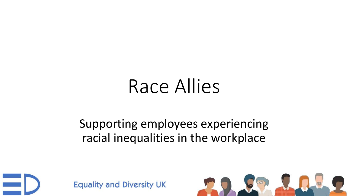# Race Allies

#### Supporting employees experiencing racial inequalities in the workplace



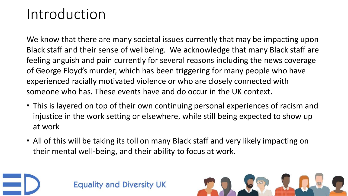#### Introduction

We know that there are many societal issues currently that may be impacting upon Black staff and their sense of wellbeing. We acknowledge that many Black staff are feeling anguish and pain currently for several reasons including the news coverage of George Floyd's murder, which has been triggering for many people who have experienced racially motivated violence or who are closely connected with someone who has. These events have and do occur in the UK context.

- This is layered on top of their own continuing personal experiences of racism and injustice in the work setting or elsewhere, while still being expected to show up at work
- All of this will be taking its toll on many Black staff and very likely impacting on their mental well-being, and their ability to focus at work.



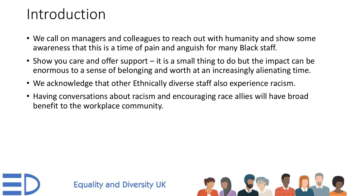#### Introduction

- We call on managers and colleagues to reach out with humanity and show some awareness that this is a time of pain and anguish for many Black staff.
- Show you care and offer support it is a small thing to do but the impact can be enormous to a sense of belonging and worth at an increasingly alienating time.
- We acknowledge that other Ethnically diverse staff also experience racism.
- Having conversations about racism and encouraging race allies will have broad benefit to the workplace community.



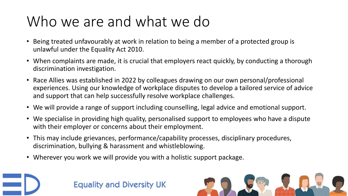## Who we are and what we do

- Being treated unfavourably at work in relation to being a member of a protected group is unlawful under the Equality Act 2010.
- When complaints are made, it is crucial that employers react quickly, by conducting a thorough discrimination investigation.
- Race Allies was established in 2022 by colleagues drawing on our own personal/professional experiences. Using our knowledge of workplace disputes to develop a tailored service of advice and support that can help successfully resolve workplace challenges.
- We will provide a range of support including counselling, legal advice and emotional support.
- We specialise in providing high quality, personalised support to employees who have a dispute with their employer or concerns about their employment.
- This may include grievances, performance/capability processes, disciplinary procedures, discrimination, bullying & harassment and whistleblowing.
- Wherever you work we will provide you with a holistic support package.



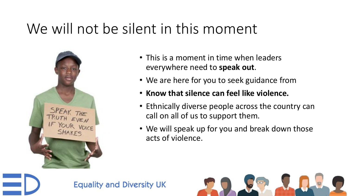### We will not be silent in this moment



- This is a moment in time when leaders everywhere need to **speak out**.
- We are here for you to seek guidance from
- **Know that silence can feel like violence.**
- Ethnically diverse people across the country can call on all of us to support them.
- We will speak up for you and break down those acts of violence.